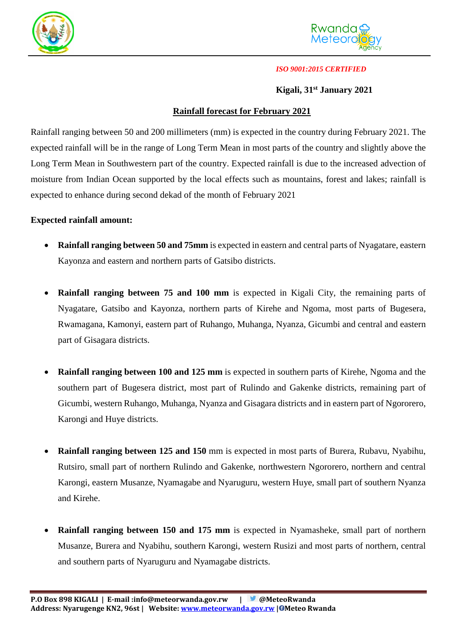



#### *ISO 9001:2015 CERTIFIED*

## **Kigali, 31st January 2021**

# **Rainfall forecast for February 2021**

Rainfall ranging between 50 and 200 millimeters (mm) is expected in the country during February 2021. The expected rainfall will be in the range of Long Term Mean in most parts of the country and slightly above the Long Term Mean in Southwestern part of the country. Expected rainfall is due to the increased advection of moisture from Indian Ocean supported by the local effects such as mountains, forest and lakes; rainfall is expected to enhance during second dekad of the month of February 2021

## **Expected rainfall amount:**

- **Rainfall ranging between 50 and 75mm** is expected in eastern and central parts of Nyagatare, eastern Kayonza and eastern and northern parts of Gatsibo districts.
- **Rainfall ranging between 75 and 100 mm** is expected in Kigali City, the remaining parts of Nyagatare, Gatsibo and Kayonza, northern parts of Kirehe and Ngoma, most parts of Bugesera, Rwamagana, Kamonyi, eastern part of Ruhango, Muhanga, Nyanza, Gicumbi and central and eastern part of Gisagara districts.
- **Rainfall ranging between 100 and 125 mm** is expected in southern parts of Kirehe, Ngoma and the southern part of Bugesera district, most part of Rulindo and Gakenke districts, remaining part of Gicumbi, western Ruhango, Muhanga, Nyanza and Gisagara districts and in eastern part of Ngororero, Karongi and Huye districts.
- **Rainfall ranging between 125 and 150** mm is expected in most parts of Burera, Rubavu, Nyabihu, Rutsiro, small part of northern Rulindo and Gakenke, northwestern Ngororero, northern and central Karongi, eastern Musanze, Nyamagabe and Nyaruguru, western Huye, small part of southern Nyanza and Kirehe.
- **Rainfall ranging between 150 and 175 mm** is expected in Nyamasheke, small part of northern Musanze, Burera and Nyabihu, southern Karongi, western Rusizi and most parts of northern, central and southern parts of Nyaruguru and Nyamagabe districts.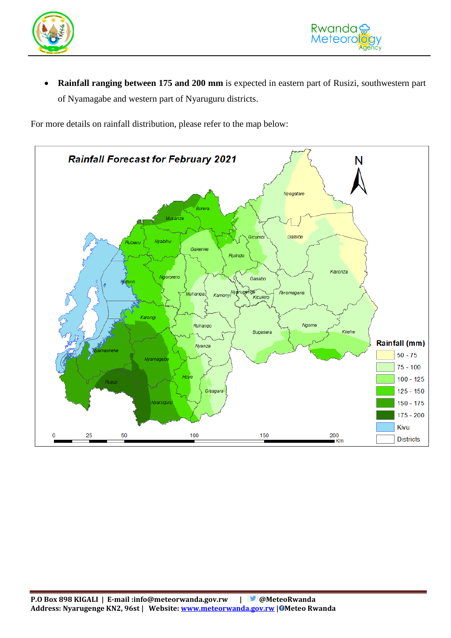

 **Rainfall ranging between 175 and 200 mm** is expected in eastern part of Rusizi, southwestern part of Nyamagabe and western part of Nyaruguru districts.

For more details on rainfall distribution, please refer to the map below: